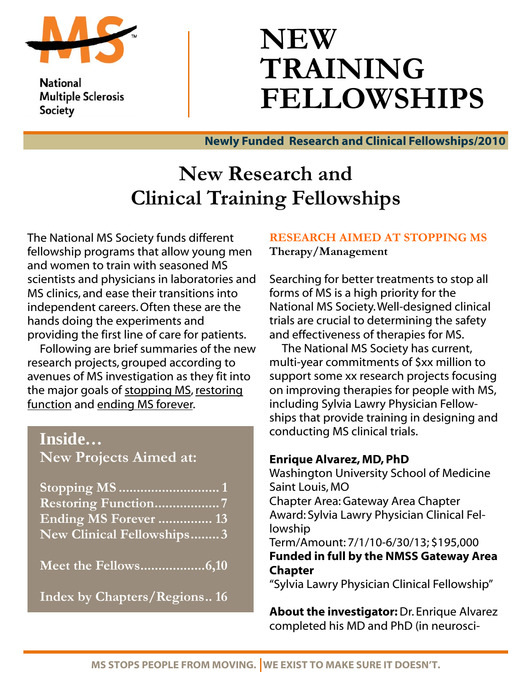

**National Multiple Sclerosis** Society

# **NEW TRAINING FELLOWSHIPS**

Newly Funded Research and Clinical Fellowships/2010

# **New Research and Clinical Training Fellowships**

The National MS Society funds different fellowship programs that allow young men and women to train with seasoned MS scientists and physicians in laboratories and MS clinics, and ease their transitions into independent careers. Often these are the hands doing the experiments and providing the first line of care for patients.

 Following are brief summaries of the new research projects, grouped according to avenues of MS investigation as they fit into the major goals of stopping MS, restoring function and ending MS forever.

# **Inside…**

**New Projects Aimed at:** 

| <b>Restoring Function</b> 7 |
|-----------------------------|
| Ending MS Forever  13       |
| New Clinical Fellowships3   |

**Meet the Fellows..................6,10** 

**Index by Chapters/Regions.. 16**

### **RESEARCH AIMED AT STOPPING MS Therapy/Management**

Searching for better treatments to stop all forms of MS is a high priority for the National MS Society. Well-designed clinical trials are crucial to determining the safety and effectiveness of therapies for MS.

 The National MS Society has current, multi-year commitments of \$xx million to support some xx research projects focusing on improving therapies for people with MS, including Sylvia Lawry Physician Fellowships that provide training in designing and conducting MS clinical trials.

### Enrique Alvarez, MD, PhD

Washington University School of Medicine Saint Louis, MO Chapter Area: Gateway Area Chapter Award: Sylvia Lawry Physician Clinical Fellowship Term/Amount: 7/1/10-6/30/13; \$195,000 Funded in full by the NMSS Gateway Area Chapter

"Sylvia Lawry Physician Clinical Fellowship"

About the investigator: Dr. Enrique Alvarez completed his MD and PhD (in neurosci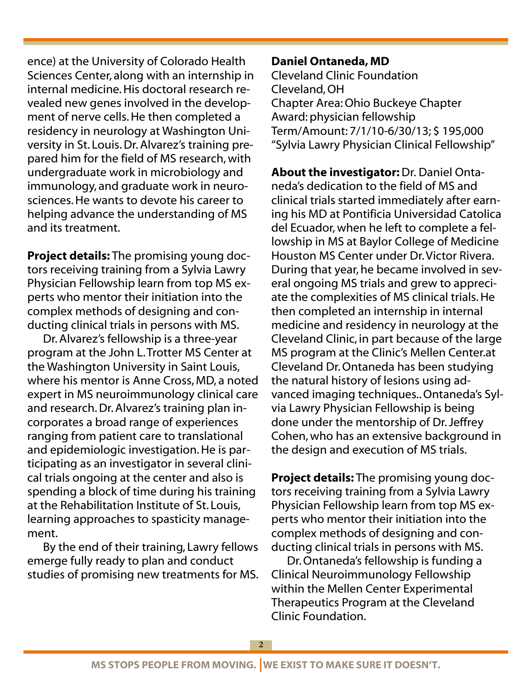ence) at the University of Colorado Health Sciences Center, along with an internship in internal medicine. His doctoral research revealed new genes involved in the development of nerve cells. He then completed a residency in neurology at Washington University in St. Louis. Dr. Alvarez's training prepared him for the field of MS research, with undergraduate work in microbiology and immunology, and graduate work in neurosciences. He wants to devote his career to helping advance the understanding of MS and its treatment.

Project details: The promising young doctors receiving training from a Sylvia Lawry Physician Fellowship learn from top MS experts who mentor their initiation into the complex methods of designing and conducting clinical trials in persons with MS.

 Dr. Alvarez's fellowship is a three-year program at the John L. Trotter MS Center at the Washington University in Saint Louis, where his mentor is Anne Cross, MD, a noted expert in MS neuroimmunology clinical care and research. Dr. Alvarez's training plan incorporates a broad range of experiences ranging from patient care to translational and epidemiologic investigation. He is participating as an investigator in several clinical trials ongoing at the center and also is spending a block of time during his training at the Rehabilitation Institute of St. Louis, learning approaches to spasticity management.

 By the end of their training, Lawry fellows emerge fully ready to plan and conduct studies of promising new treatments for MS.

### Daniel Ontaneda, MD

Cleveland Clinic Foundation Cleveland, OH Chapter Area: Ohio Buckeye Chapter Award: physician fellowship Term/Amount: 7/1/10-6/30/13; \$ 195,000 "Sylvia Lawry Physician Clinical Fellowship"

About the investigator: Dr. Daniel Ontaneda's dedication to the field of MS and clinical trials started immediately after earning his MD at Pontificia Universidad Catolica del Ecuador, when he left to complete a fellowship in MS at Baylor College of Medicine Houston MS Center under Dr. Victor Rivera. During that year, he became involved in several ongoing MS trials and grew to appreciate the complexities of MS clinical trials. He then completed an internship in internal medicine and residency in neurology at the Cleveland Clinic, in part because of the large MS program at the Clinic's Mellen Center.at Cleveland Dr. Ontaneda has been studying the natural history of lesions using advanced imaging techniques.. Ontaneda's Sylvia Lawry Physician Fellowship is being done under the mentorship of Dr. Jeffrey Cohen, who has an extensive background in the design and execution of MS trials.

Project details: The promising young doctors receiving training from a Sylvia Lawry Physician Fellowship learn from top MS experts who mentor their initiation into the complex methods of designing and conducting clinical trials in persons with MS.

 Dr. Ontaneda's fellowship is funding a Clinical Neuroimmunology Fellowship within the Mellen Center Experimental Therapeutics Program at the Cleveland Clinic Foundation.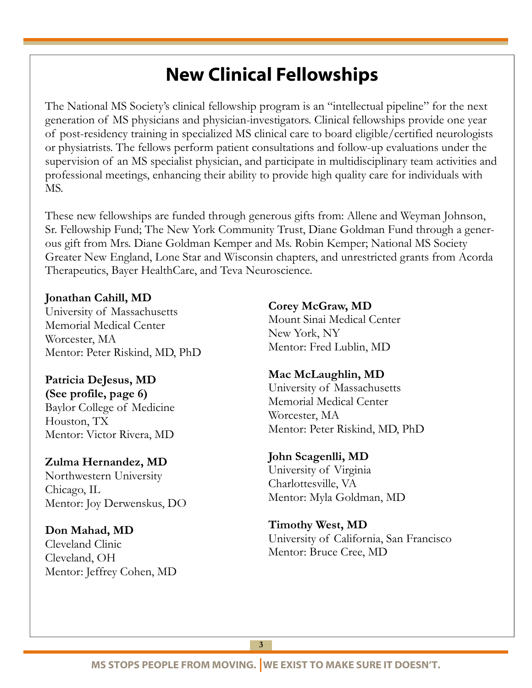# New Clinical Fellowships

The National MS Society's clinical fellowship program is an "intellectual pipeline" for the next generation of MS physicians and physician-investigators. Clinical fellowships provide one year of post-residency training in specialized MS clinical care to board eligible/certified neurologists or physiatrists. The fellows perform patient consultations and follow-up evaluations under the supervision of an MS specialist physician, and participate in multidisciplinary team activities and professional meetings, enhancing their ability to provide high quality care for individuals with MS.

These new fellowships are funded through generous gifts from: Allene and Weyman Johnson, Sr. Fellowship Fund; The New York Community Trust, Diane Goldman Fund through a generous gift from Mrs. Diane Goldman Kemper and Ms. Robin Kemper; National MS Society Greater New England, Lone Star and Wisconsin chapters, and unrestricted grants from Acorda Therapeutics, Bayer HealthCare, and Teva Neuroscience.

#### **Jonathan Cahill, MD**

i

University of Massachusetts Memorial Medical Center Worcester, MA Mentor: Peter Riskind, MD, PhD

**Patricia DeJesus, MD (See profile, page 6)**  Baylor College of Medicine Houston, TX Mentor: Victor Rivera, MD

#### **Zulma Hernandez, MD**

Northwestern University Chicago, IL Mentor: Joy Derwenskus, DO

**Don Mahad, MD** 

Cleveland Clinic Cleveland, OH Mentor: Jeffrey Cohen, MD **Corey McGraw, MD**  Mount Sinai Medical Center New York, NY Mentor: Fred Lublin, MD

### **Mac McLaughlin, MD**

University of Massachusetts Memorial Medical Center Worcester, MA Mentor: Peter Riskind, MD, PhD

#### **John Scagenlli, MD**

University of Virginia Charlottesville, VA Mentor: Myla Goldman, MD

**Timothy West, MD**  University of California, San Francisco Mentor: Bruce Cree, MD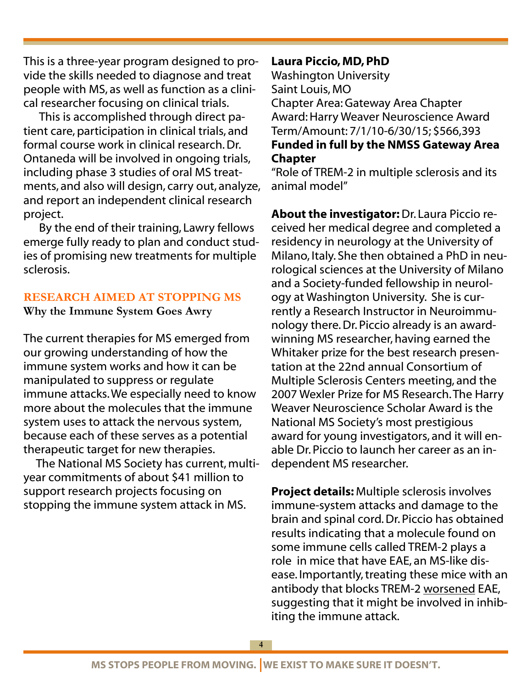This is a three-year program designed to provide the skills needed to diagnose and treat people with MS, as well as function as a clinical researcher focusing on clinical trials.

 This is accomplished through direct patient care, participation in clinical trials, and formal course work in clinical research. Dr. Ontaneda will be involved in ongoing trials, including phase 3 studies of oral MS treatments, and also will design, carry out, analyze, and report an independent clinical research project.

 By the end of their training, Lawry fellows emerge fully ready to plan and conduct studies of promising new treatments for multiple sclerosis.

### **RESEARCH AIMED AT STOPPING MS**

**Why the Immune System Goes Awry** 

The current therapies for MS emerged from our growing understanding of how the immune system works and how it can be manipulated to suppress or regulate immune attacks. We especially need to know more about the molecules that the immune system uses to attack the nervous system, because each of these serves as a potential therapeutic target for new therapies.

 The National MS Society has current, multiyear commitments of about \$41 million to support research projects focusing on stopping the immune system attack in MS.

Laura Piccio, MD, PhD Washington University Saint Louis, MO Chapter Area: Gateway Area Chapter Award: Harry Weaver Neuroscience Award Term/Amount: 7/1/10-6/30/15; \$566,393 Funded in full by the NMSS Gateway Area Chapter

"Role of TREM-2 in multiple sclerosis and its animal model"

About the investigator: Dr. Laura Piccio received her medical degree and completed a residency in neurology at the University of Milano, Italy. She then obtained a PhD in neurological sciences at the University of Milano and a Society-funded fellowship in neurology at Washington University. She is currently a Research Instructor in Neuroimmunology there. Dr. Piccio already is an awardwinning MS researcher, having earned the Whitaker prize for the best research presentation at the 22nd annual Consortium of Multiple Sclerosis Centers meeting, and the 2007 Wexler Prize for MS Research. The Harry Weaver Neuroscience Scholar Award is the National MS Society's most prestigious award for young investigators, and it will enable Dr. Piccio to launch her career as an independent MS researcher.

Project details: Multiple sclerosis involves immune-system attacks and damage to the brain and spinal cord. Dr. Piccio has obtained results indicating that a molecule found on some immune cells called TREM-2 plays a role in mice that have EAE, an MS-like disease. Importantly, treating these mice with an antibody that blocks TREM-2 worsened EAE, suggesting that it might be involved in inhibiting the immune attack.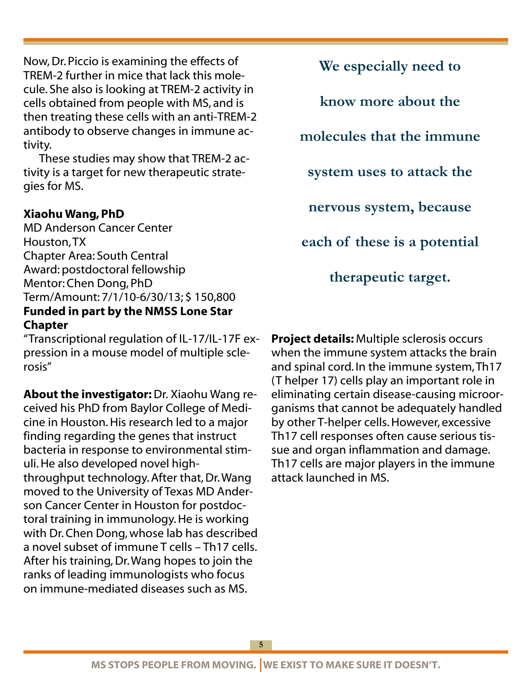Now, Dr. Piccio is examining the effects of TREM-2 further in mice that lack this molecule. She also is looking at TREM-2 activity in cells obtained from people with MS, and is then treating these cells with an anti-TREM-2 antibody to observe changes in immune activity.

 These studies may show that TREM-2 activity is a target for new therapeutic strategies for MS.

### Xiaohu Wang, PhD

MD Anderson Cancer Center Houston, TX Chapter Area: South Central Award: postdoctoral fellowship Mentor: Chen Dong, PhD Term/Amount: 7/1/10-6/30/13; \$ 150,800 Funded in part by the NMSS Lone Star **Chapter** 

"Transcriptional regulation of IL-17/IL-17F expression in a mouse model of multiple sclerosis"

About the investigator: Dr. Xiaohu Wang received his PhD from Baylor College of Medicine in Houston. His research led to a major finding regarding the genes that instruct bacteria in response to environmental stimuli. He also developed novel highthroughput technology. After that, Dr. Wang moved to the University of Texas MD Anderson Cancer Center in Houston for postdoctoral training in immunology. He is working with Dr. Chen Dong, whose lab has described a novel subset of immune T cells – Th17 cells. After his training, Dr. Wang hopes to join the ranks of leading immunologists who focus on immune-mediated diseases such as MS.

**We especially need to know more about the molecules that the immune system uses to attack the nervous system, because each of these is a potential therapeutic target.** 

Project details: Multiple sclerosis occurs when the immune system attacks the brain and spinal cord. In the immune system, Th17 (T helper 17) cells play an important role in eliminating certain disease-causing microorganisms that cannot be adequately handled by other T-helper cells. However, excessive Th17 cell responses often cause serious tissue and organ inflammation and damage. Th17 cells are major players in the immune attack launched in MS.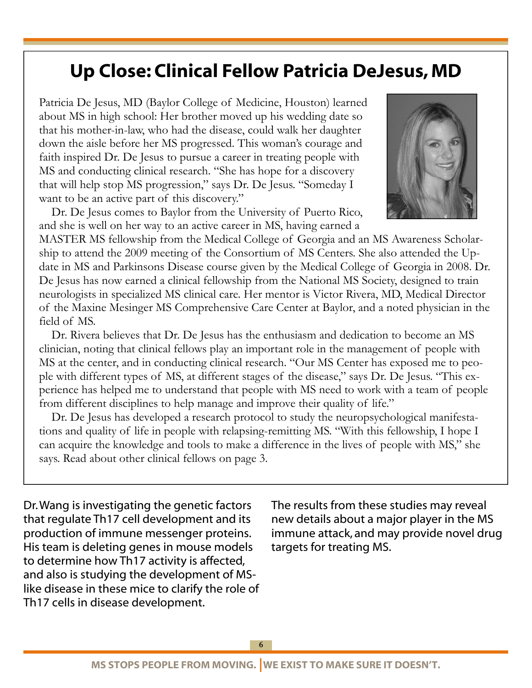# Up Close: Clinical Fellow Patricia DeJesus, MD

Patricia De Jesus, MD (Baylor College of Medicine, Houston) learned about MS in high school: Her brother moved up his wedding date so that his mother-in-law, who had the disease, could walk her daughter down the aisle before her MS progressed. This woman's courage and faith inspired Dr. De Jesus to pursue a career in treating people with MS and conducting clinical research. "She has hope for a discovery that will help stop MS progression," says Dr. De Jesus. "Someday I want to be an active part of this discovery."

Dr. De Jesus comes to Baylor from the University of Puerto Rico, and she is well on her way to an active career in MS, having earned a



MASTER MS fellowship from the Medical College of Georgia and an MS Awareness Scholarship to attend the 2009 meeting of the Consortium of MS Centers. She also attended the Update in MS and Parkinsons Disease course given by the Medical College of Georgia in 2008. Dr. De Jesus has now earned a clinical fellowship from the National MS Society, designed to train neurologists in specialized MS clinical care. Her mentor is Victor Rivera, MD, Medical Director of the Maxine Mesinger MS Comprehensive Care Center at Baylor, and a noted physician in the field of MS.

Dr. Rivera believes that Dr. De Jesus has the enthusiasm and dedication to become an MS clinician, noting that clinical fellows play an important role in the management of people with MS at the center, and in conducting clinical research. "Our MS Center has exposed me to people with different types of MS, at different stages of the disease," says Dr. De Jesus. "This experience has helped me to understand that people with MS need to work with a team of people from different disciplines to help manage and improve their quality of life."

Dr. De Jesus has developed a research protocol to study the neuropsychological manifestations and quality of life in people with relapsing-remitting MS. "With this fellowship, I hope I can acquire the knowledge and tools to make a difference in the lives of people with MS," she says. Read about other clinical fellows on page 3.

Dr. Wang is investigating the genetic factors that regulate Th17 cell development and its production of immune messenger proteins. His team is deleting genes in mouse models to determine how Th17 activity is affected, and also is studying the development of MSlike disease in these mice to clarify the role of Th17 cells in disease development.

The results from these studies may reveal new details about a major player in the MS immune attack, and may provide novel drug targets for treating MS.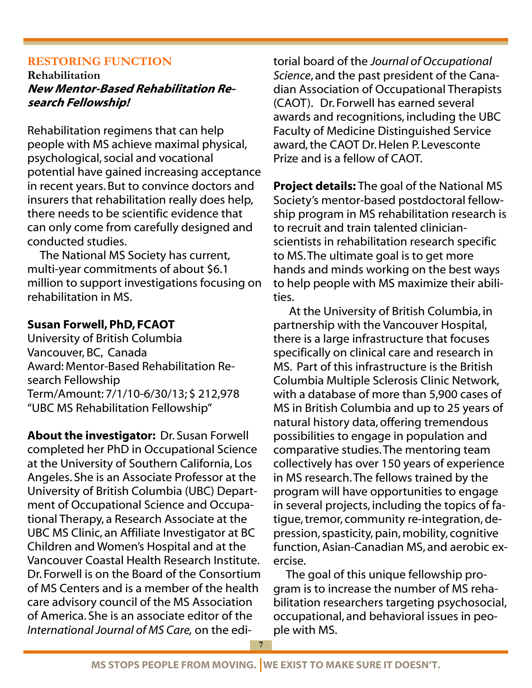### **RESTORING FUNCTION**

**Rehabilitation**  New Mentor-Based Rehabilitation Research Fellowship!

Rehabilitation regimens that can help people with MS achieve maximal physical, psychological, social and vocational potential have gained increasing acceptance in recent years. But to convince doctors and insurers that rehabilitation really does help, there needs to be scientific evidence that can only come from carefully designed and conducted studies.

 The National MS Society has current, multi-year commitments of about \$6.1 million to support investigations focusing on rehabilitation in MS.

### Susan Forwell, PhD, FCAOT

University of British Columbia Vancouver, BC, Canada Award: Mentor-Based Rehabilitation Research Fellowship Term/Amount: 7/1/10-6/30/13; \$ 212,978 "UBC MS Rehabilitation Fellowship"

About the investigator: Dr. Susan Forwell completed her PhD in Occupational Science at the University of Southern California, Los Angeles. She is an Associate Professor at the University of British Columbia (UBC) Department of Occupational Science and Occupational Therapy, a Research Associate at the UBC MS Clinic, an Affiliate Investigator at BC Children and Women's Hospital and at the Vancouver Coastal Health Research Institute. Dr. Forwell is on the Board of the Consortium of MS Centers and is a member of the health care advisory council of the MS Association of America. She is an associate editor of the *International Journal of MS Care,* on the edi-

torial board of the *Journal of Occupational Science*, and the past president of the Canadian Association of Occupational Therapists (CAOT). Dr. Forwell has earned several awards and recognitions, including the UBC Faculty of Medicine Distinguished Service award, the CAOT Dr. Helen P. Levesconte Prize and is a fellow of CAOT.

Project details: The goal of the National MS Society's mentor-based postdoctoral fellowship program in MS rehabilitation research is to recruit and train talented clinicianscientists in rehabilitation research specific to MS. The ultimate goal is to get more hands and minds working on the best ways to help people with MS maximize their abilities.

 At the University of British Columbia, in partnership with the Vancouver Hospital, there is a large infrastructure that focuses specifically on clinical care and research in MS. Part of this infrastructure is the British Columbia Multiple Sclerosis Clinic Network, with a database of more than 5,900 cases of MS in British Columbia and up to 25 years of natural history data, offering tremendous possibilities to engage in population and comparative studies. The mentoring team collectively has over 150 years of experience in MS research. The fellows trained by the program will have opportunities to engage in several projects, including the topics of fatigue, tremor, community re-integration, depression, spasticity, pain, mobility, cognitive function, Asian-Canadian MS, and aerobic exercise.

The goal of this unique fellowship program is to increase the number of MS rehabilitation researchers targeting psychosocial, occupational, and behavioral issues in people with MS.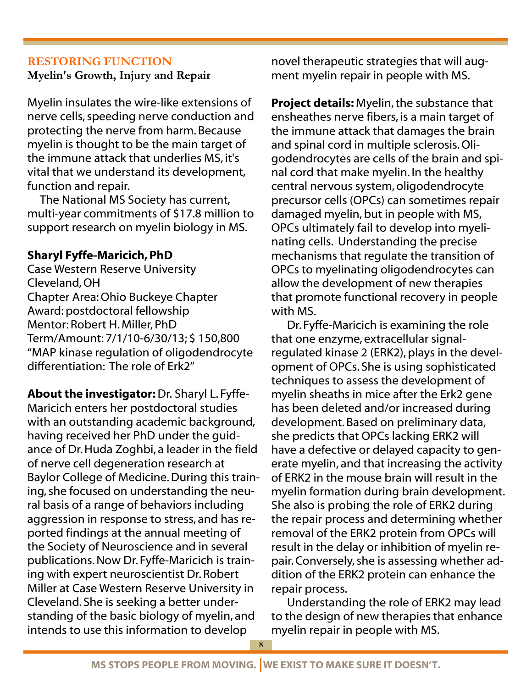### **RESTORING FUNCTION**

**Myelin's Growth, Injury and Repair** 

Myelin insulates the wire-like extensions of nerve cells, speeding nerve conduction and protecting the nerve from harm. Because myelin is thought to be the main target of the immune attack that underlies MS, it's vital that we understand its development, function and repair.

 The National MS Society has current, multi-year commitments of \$17.8 million to support research on myelin biology in MS.

# Sharyl Fyffe-Maricich, PhD

Case Western Reserve University Cleveland, OH Chapter Area: Ohio Buckeye Chapter Award: postdoctoral fellowship Mentor: Robert H. Miller, PhD Term/Amount: 7/1/10-6/30/13; \$ 150,800 "MAP kinase regulation of oligodendrocyte differentiation: The role of Erk2"

About the investigator: Dr. Sharyl L. Fyffe-Maricich enters her postdoctoral studies with an outstanding academic background, having received her PhD under the guidance of Dr. Huda Zoghbi, a leader in the field of nerve cell degeneration research at Baylor College of Medicine. During this training, she focused on understanding the neural basis of a range of behaviors including aggression in response to stress, and has reported findings at the annual meeting of the Society of Neuroscience and in several publications. Now Dr. Fyffe-Maricich is training with expert neuroscientist Dr. Robert Miller at Case Western Reserve University in Cleveland. She is seeking a better understanding of the basic biology of myelin, and intends to use this information to develop

novel therapeutic strategies that will augment myelin repair in people with MS.

Project details: Myelin, the substance that ensheathes nerve fibers, is a main target of the immune attack that damages the brain and spinal cord in multiple sclerosis. Oligodendrocytes are cells of the brain and spinal cord that make myelin. In the healthy central nervous system, oligodendrocyte precursor cells (OPCs) can sometimes repair damaged myelin, but in people with MS, OPCs ultimately fail to develop into myelinating cells. Understanding the precise mechanisms that regulate the transition of OPCs to myelinating oligodendrocytes can allow the development of new therapies that promote functional recovery in people with MS.

 Dr. Fyffe-Maricich is examining the role that one enzyme, extracellular signalregulated kinase 2 (ERK2), plays in the development of OPCs. She is using sophisticated techniques to assess the development of myelin sheaths in mice after the Erk2 gene has been deleted and/or increased during development. Based on preliminary data, she predicts that OPCs lacking ERK2 will have a defective or delayed capacity to generate myelin, and that increasing the activity of ERK2 in the mouse brain will result in the myelin formation during brain development. She also is probing the role of ERK2 during the repair process and determining whether removal of the ERK2 protein from OPCs will result in the delay or inhibition of myelin repair. Conversely, she is assessing whether addition of the ERK2 protein can enhance the repair process.

 Understanding the role of ERK2 may lead to the design of new therapies that enhance myelin repair in people with MS.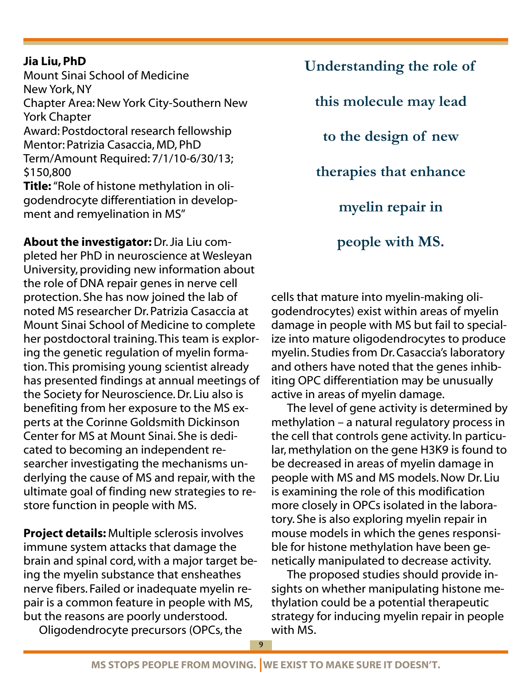### Jia Liu, PhD

Mount Sinai School of Medicine New York, NY Chapter Area: New York City-Southern New York Chapter Award: Postdoctoral research fellowship Mentor: Patrizia Casaccia, MD, PhD Term/Amount Required: 7/1/10-6/30/13; \$150,800 Title: "Role of histone methylation in oligodendrocyte differentiation in development and remyelination in MS"

About the investigator: Dr. Jia Liu completed her PhD in neuroscience at Wesleyan University, providing new information about the role of DNA repair genes in nerve cell protection. She has now joined the lab of noted MS researcher Dr. Patrizia Casaccia at Mount Sinai School of Medicine to complete her postdoctoral training. This team is exploring the genetic regulation of myelin formation. This promising young scientist already has presented findings at annual meetings of the Society for Neuroscience. Dr. Liu also is benefiting from her exposure to the MS experts at the Corinne Goldsmith Dickinson Center for MS at Mount Sinai. She is dedicated to becoming an independent researcher investigating the mechanisms underlying the cause of MS and repair, with the ultimate goal of finding new strategies to restore function in people with MS.

Project details: Multiple sclerosis involves immune system attacks that damage the brain and spinal cord, with a major target being the myelin substance that ensheathes nerve fibers. Failed or inadequate myelin repair is a common feature in people with MS, but the reasons are poorly understood.

Oligodendrocyte precursors (OPCs, the

**Understanding the role of this molecule may lead to the design of new therapies that enhance myelin repair in people with MS.** 

cells that mature into myelin-making oligodendrocytes) exist within areas of myelin damage in people with MS but fail to specialize into mature oligodendrocytes to produce myelin. Studies from Dr. Casaccia's laboratory and others have noted that the genes inhibiting OPC differentiation may be unusually active in areas of myelin damage.

 The level of gene activity is determined by methylation – a natural regulatory process in the cell that controls gene activity. In particular, methylation on the gene H3K9 is found to be decreased in areas of myelin damage in people with MS and MS models. Now Dr. Liu is examining the role of this modification more closely in OPCs isolated in the laboratory. She is also exploring myelin repair in mouse models in which the genes responsible for histone methylation have been genetically manipulated to decrease activity.

 The proposed studies should provide insights on whether manipulating histone methylation could be a potential therapeutic strategy for inducing myelin repair in people with MS.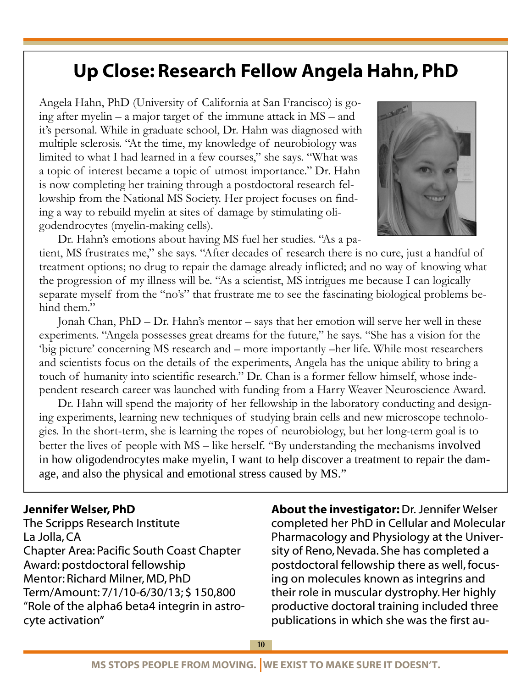# Up Close: Research Fellow Angela Hahn, PhD

Angela Hahn, PhD (University of California at San Francisco) is going after myelin – a major target of the immune attack in MS – and it's personal. While in graduate school, Dr. Hahn was diagnosed with multiple sclerosis. "At the time, my knowledge of neurobiology was limited to what I had learned in a few courses," she says. "What was a topic of interest became a topic of utmost importance." Dr. Hahn is now completing her training through a postdoctoral research fellowship from the National MS Society. Her project focuses on finding a way to rebuild myelin at sites of damage by stimulating oligodendrocytes (myelin-making cells).



Dr. Hahn's emotions about having MS fuel her studies. "As a pa-

tient, MS frustrates me," she says. "After decades of research there is no cure, just a handful of treatment options; no drug to repair the damage already inflicted; and no way of knowing what the progression of my illness will be. "As a scientist, MS intrigues me because I can logically separate myself from the "no's" that frustrate me to see the fascinating biological problems behind them."

Jonah Chan, PhD – Dr. Hahn's mentor – says that her emotion will serve her well in these experiments. "Angela possesses great dreams for the future," he says. "She has a vision for the 'big picture' concerning MS research and – more importantly –her life. While most researchers and scientists focus on the details of the experiments, Angela has the unique ability to bring a touch of humanity into scientific research." Dr. Chan is a former fellow himself, whose independent research career was launched with funding from a Harry Weaver Neuroscience Award.

Dr. Hahn will spend the majority of her fellowship in the laboratory conducting and designing experiments, learning new techniques of studying brain cells and new microscope technologies. In the short-term, she is learning the ropes of neurobiology, but her long-term goal is to better the lives of people with MS – like herself. "By understanding the mechanisms involved in how oligodendrocytes make myelin, I want to help discover a treatment to repair the damage, and also the physical and emotional stress caused by MS."

#### Jennifer Welser, PhD

The Scripps Research Institute La Jolla, CA Chapter Area: Pacific South Coast Chapter Award: postdoctoral fellowship Mentor: Richard Milner, MD, PhD Term/Amount: 7/1/10-6/30/13; \$ 150,800 "Role of the alpha6 beta4 integrin in astrocyte activation"

About the investigator: Dr. Jennifer Welser completed her PhD in Cellular and Molecular Pharmacology and Physiology at the University of Reno, Nevada. She has completed a postdoctoral fellowship there as well, focusing on molecules known as integrins and their role in muscular dystrophy. Her highly productive doctoral training included three publications in which she was the first au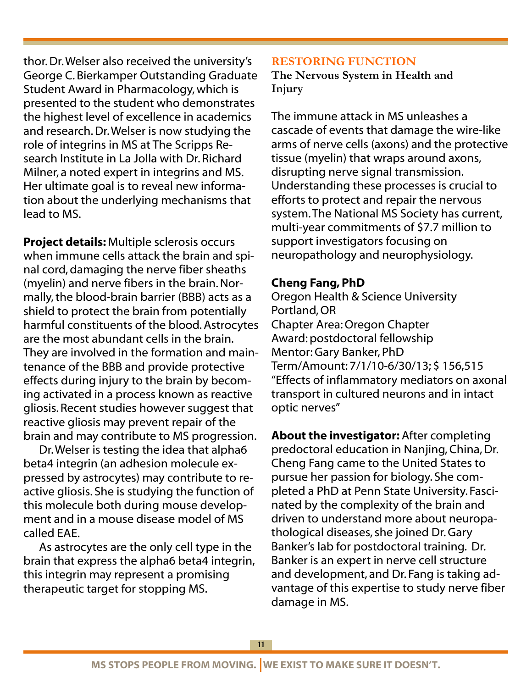thor. Dr. Welser also received the university's George C. Bierkamper Outstanding Graduate Student Award in Pharmacology, which is presented to the student who demonstrates the highest level of excellence in academics and research. Dr. Welser is now studying the role of integrins in MS at The Scripps Research Institute in La Jolla with Dr. Richard Milner, a noted expert in integrins and MS. Her ultimate goal is to reveal new information about the underlying mechanisms that lead to MS.

Project details: Multiple sclerosis occurs when immune cells attack the brain and spinal cord, damaging the nerve fiber sheaths (myelin) and nerve fibers in the brain. Normally, the blood-brain barrier (BBB) acts as a shield to protect the brain from potentially harmful constituents of the blood. Astrocytes are the most abundant cells in the brain. They are involved in the formation and maintenance of the BBB and provide protective effects during injury to the brain by becoming activated in a process known as reactive gliosis. Recent studies however suggest that reactive gliosis may prevent repair of the brain and may contribute to MS progression.

 Dr. Welser is testing the idea that alpha6 beta4 integrin (an adhesion molecule expressed by astrocytes) may contribute to reactive gliosis. She is studying the function of this molecule both during mouse development and in a mouse disease model of MS called EAE.

 As astrocytes are the only cell type in the brain that express the alpha6 beta4 integrin, this integrin may represent a promising therapeutic target for stopping MS.

#### **RESTORING FUNCTION**

**The Nervous System in Health and Injury** 

The immune attack in MS unleashes a cascade of events that damage the wire-like arms of nerve cells (axons) and the protective tissue (myelin) that wraps around axons, disrupting nerve signal transmission. Understanding these processes is crucial to efforts to protect and repair the nervous system. The National MS Society has current, multi-year commitments of \$7.7 million to support investigators focusing on neuropathology and neurophysiology.

### Cheng Fang, PhD

Oregon Health & Science University Portland, OR Chapter Area: Oregon Chapter Award: postdoctoral fellowship Mentor: Gary Banker, PhD Term/Amount: 7/1/10-6/30/13; \$ 156,515 "Effects of inflammatory mediators on axonal transport in cultured neurons and in intact optic nerves"

About the investigator: After completing predoctoral education in Nanjing, China, Dr. Cheng Fang came to the United States to pursue her passion for biology. She completed a PhD at Penn State University. Fascinated by the complexity of the brain and driven to understand more about neuropathological diseases, she joined Dr. Gary Banker's lab for postdoctoral training. Dr. Banker is an expert in nerve cell structure and development, and Dr. Fang is taking advantage of this expertise to study nerve fiber damage in MS.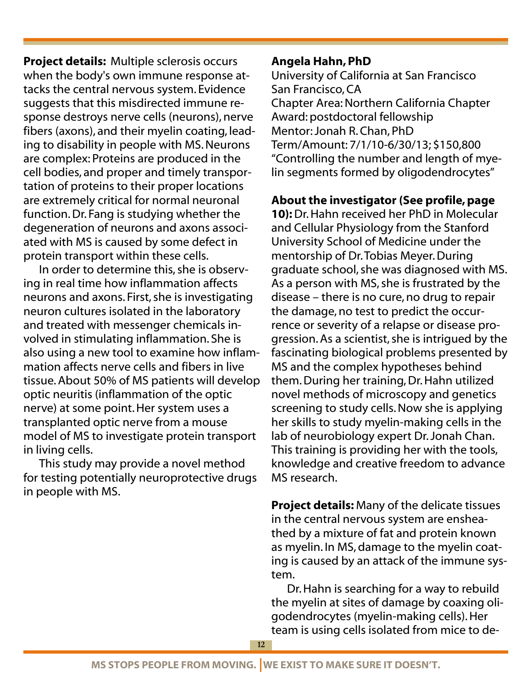Project details: Multiple sclerosis occurs when the body's own immune response attacks the central nervous system. Evidence suggests that this misdirected immune response destroys nerve cells (neurons), nerve fibers (axons), and their myelin coating, leading to disability in people with MS. Neurons are complex: Proteins are produced in the cell bodies, and proper and timely transportation of proteins to their proper locations are extremely critical for normal neuronal function. Dr. Fang is studying whether the degeneration of neurons and axons associated with MS is caused by some defect in protein transport within these cells.

 In order to determine this, she is observing in real time how inflammation affects neurons and axons. First, she is investigating neuron cultures isolated in the laboratory and treated with messenger chemicals involved in stimulating inflammation. She is also using a new tool to examine how inflammation affects nerve cells and fibers in live tissue. About 50% of MS patients will develop optic neuritis (inflammation of the optic nerve) at some point. Her system uses a transplanted optic nerve from a mouse model of MS to investigate protein transport in living cells.

 This study may provide a novel method for testing potentially neuroprotective drugs in people with MS.

## Angela Hahn, PhD

University of California at San Francisco San Francisco, CA Chapter Area: Northern California Chapter Award: postdoctoral fellowship Mentor: Jonah R. Chan, PhD Term/Amount: 7/1/10-6/30/13; \$150,800 "Controlling the number and length of myelin segments formed by oligodendrocytes"

## About the investigator (See profile, page

10): Dr. Hahn received her PhD in Molecular and Cellular Physiology from the Stanford University School of Medicine under the mentorship of Dr. Tobias Meyer. During graduate school, she was diagnosed with MS. As a person with MS, she is frustrated by the disease – there is no cure, no drug to repair the damage, no test to predict the occurrence or severity of a relapse or disease progression. As a scientist, she is intrigued by the fascinating biological problems presented by MS and the complex hypotheses behind them. During her training, Dr. Hahn utilized novel methods of microscopy and genetics screening to study cells. Now she is applying her skills to study myelin-making cells in the lab of neurobiology expert Dr. Jonah Chan. This training is providing her with the tools, knowledge and creative freedom to advance MS research.

Project details: Many of the delicate tissues in the central nervous system are ensheathed by a mixture of fat and protein known as myelin. In MS, damage to the myelin coating is caused by an attack of the immune system.

 Dr. Hahn is searching for a way to rebuild the myelin at sites of damage by coaxing oligodendrocytes (myelin-making cells). Her team is using cells isolated from mice to de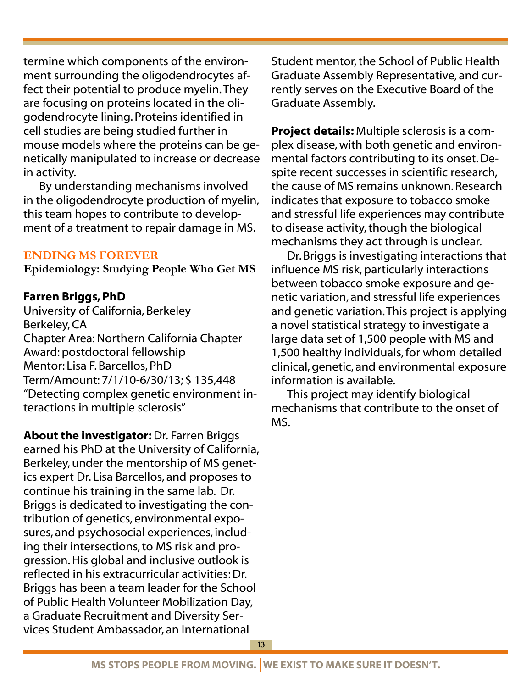termine which components of the environment surrounding the oligodendrocytes affect their potential to produce myelin. They are focusing on proteins located in the oligodendrocyte lining. Proteins identified in cell studies are being studied further in mouse models where the proteins can be genetically manipulated to increase or decrease in activity.

 By understanding mechanisms involved in the oligodendrocyte production of myelin, this team hopes to contribute to development of a treatment to repair damage in MS.

### **ENDING MS FOREVER**

**Epidemiology: Studying People Who Get MS** 

### Farren Briggs, PhD

University of California, Berkeley Berkeley, CA Chapter Area: Northern California Chapter Award: postdoctoral fellowship Mentor: Lisa F. Barcellos, PhD Term/Amount: 7/1/10-6/30/13; \$ 135,448 "Detecting complex genetic environment interactions in multiple sclerosis"

About the investigator: Dr. Farren Briggs earned his PhD at the University of California, Berkeley, under the mentorship of MS genetics expert Dr. Lisa Barcellos, and proposes to continue his training in the same lab. Dr. Briggs is dedicated to investigating the contribution of genetics, environmental exposures, and psychosocial experiences, including their intersections, to MS risk and progression. His global and inclusive outlook is reflected in his extracurricular activities: Dr. Briggs has been a team leader for the School of Public Health Volunteer Mobilization Day, a Graduate Recruitment and Diversity Services Student Ambassador, an International

Student mentor, the School of Public Health Graduate Assembly Representative, and currently serves on the Executive Board of the Graduate Assembly.

Project details: Multiple sclerosis is a complex disease, with both genetic and environmental factors contributing to its onset. Despite recent successes in scientific research, the cause of MS remains unknown. Research indicates that exposure to tobacco smoke and stressful life experiences may contribute to disease activity, though the biological mechanisms they act through is unclear.

 Dr. Briggs is investigating interactions that influence MS risk, particularly interactions between tobacco smoke exposure and genetic variation, and stressful life experiences and genetic variation. This project is applying a novel statistical strategy to investigate a large data set of 1,500 people with MS and 1,500 healthy individuals, for whom detailed clinical, genetic, and environmental exposure information is available.

 This project may identify biological mechanisms that contribute to the onset of MS.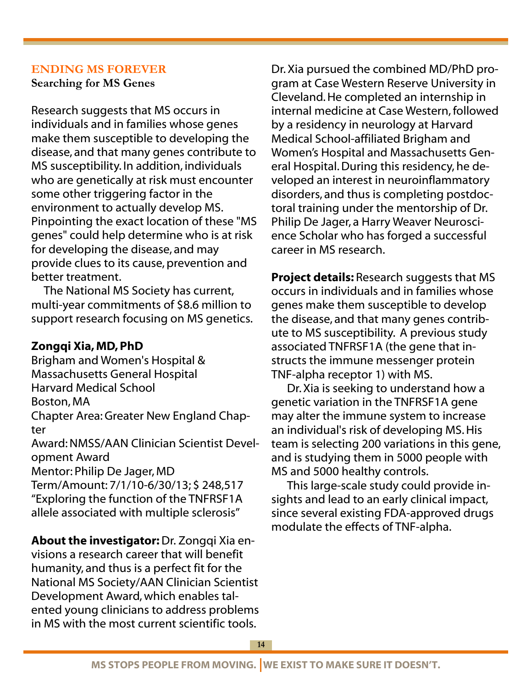#### **ENDING MS FOREVER Searching for MS Genes**

Research suggests that MS occurs in individuals and in families whose genes make them susceptible to developing the disease, and that many genes contribute to MS susceptibility. In addition, individuals who are genetically at risk must encounter some other triggering factor in the environment to actually develop MS. Pinpointing the exact location of these "MS genes" could help determine who is at risk for developing the disease, and may provide clues to its cause, prevention and better treatment.

 The National MS Society has current, multi-year commitments of \$8.6 million to support research focusing on MS genetics.

### Zongqi Xia, MD, PhD

Brigham and Women's Hospital & Massachusetts General Hospital Harvard Medical School Boston, MA Chapter Area: Greater New England Chapter Award: NMSS/AAN Clinician Scientist Development Award Mentor: Philip De Jager, MD Term/Amount: 7/1/10-6/30/13; \$ 248,517 "Exploring the function of the TNFRSF1A allele associated with multiple sclerosis"

About the investigator: Dr. Zongqi Xia envisions a research career that will benefit humanity, and thus is a perfect fit for the National MS Society/AAN Clinician Scientist Development Award, which enables talented young clinicians to address problems in MS with the most current scientific tools.

Dr. Xia pursued the combined MD/PhD program at Case Western Reserve University in Cleveland. He completed an internship in internal medicine at Case Western, followed by a residency in neurology at Harvard Medical School-affiliated Brigham and Women's Hospital and Massachusetts General Hospital. During this residency, he developed an interest in neuroinflammatory disorders, and thus is completing postdoctoral training under the mentorship of Dr. Philip De Jager, a Harry Weaver Neuroscience Scholar who has forged a successful career in MS research.

Project details: Research suggests that MS occurs in individuals and in families whose genes make them susceptible to develop the disease, and that many genes contribute to MS susceptibility. A previous study associated TNFRSF1A (the gene that instructs the immune messenger protein TNF-alpha receptor 1) with MS.

 Dr. Xia is seeking to understand how a genetic variation in the TNFRSF1A gene may alter the immune system to increase an individual's risk of developing MS. His team is selecting 200 variations in this gene, and is studying them in 5000 people with MS and 5000 healthy controls.

 This large-scale study could provide insights and lead to an early clinical impact, since several existing FDA-approved drugs modulate the effects of TNF-alpha.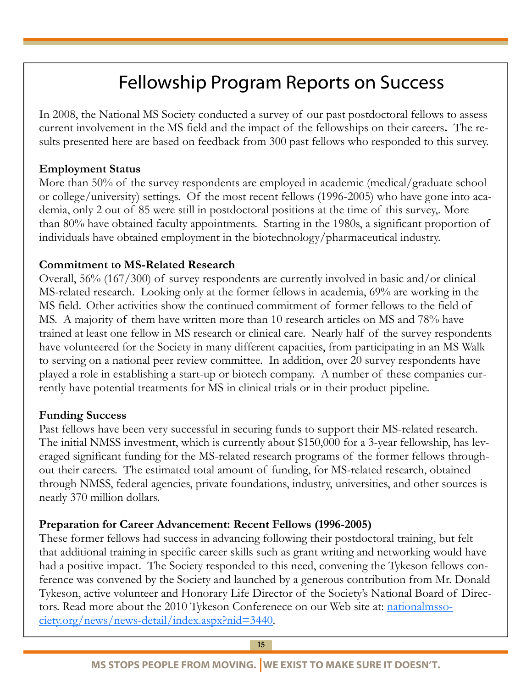# Fellowship Program Reports on Success

In 2008, the National MS Society conducted a survey of our past postdoctoral fellows to assess current involvement in the MS field and the impact of the fellowships on their careers**.** The results presented here are based on feedback from 300 past fellows who responded to this survey.

### **Employment Status**

More than 50% of the survey respondents are employed in academic (medical/graduate school or college/university) settings. Of the most recent fellows (1996-2005) who have gone into academia, only 2 out of 85 were still in postdoctoral positions at the time of this survey,. More than 80% have obtained faculty appointments. Starting in the 1980s, a significant proportion of individuals have obtained employment in the biotechnology/pharmaceutical industry.

### **Commitment to MS-Related Research**

Overall, 56% (167/300) of survey respondents are currently involved in basic and/or clinical MS-related research. Looking only at the former fellows in academia, 69% are working in the MS field. Other activities show the continued commitment of former fellows to the field of MS. A majority of them have written more than 10 research articles on MS and 78% have trained at least one fellow in MS research or clinical care. Nearly half of the survey respondents have volunteered for the Society in many different capacities, from participating in an MS Walk to serving on a national peer review committee. In addition, over 20 survey respondents have played a role in establishing a start-up or biotech company. A number of these companies currently have potential treatments for MS in clinical trials or in their product pipeline.

### **Funding Success**

Past fellows have been very successful in securing funds to support their MS-related research. The initial NMSS investment, which is currently about \$150,000 for a 3-year fellowship, has leveraged significant funding for the MS-related research programs of the former fellows throughout their careers. The estimated total amount of funding, for MS-related research, obtained through NMSS, federal agencies, private foundations, industry, universities, and other sources is nearly 370 million dollars.

### **Preparation for Career Advancement: Recent Fellows (1996-2005)**

These former fellows had success in advancing following their postdoctoral training, but felt that additional training in specific career skills such as grant writing and networking would have had a positive impact. The Society responded to this need, convening the Tykeson fellows conference was convened by the Society and launched by a generous contribution from Mr. Donald Tykeson, active volunteer and Honorary Life Director of the Society's National Board of Directors. Read more about the 2010 Tykeson Conferenece on our Web site at: nationalmssociety.org/news/news-detail/index.aspx?nid=3440.